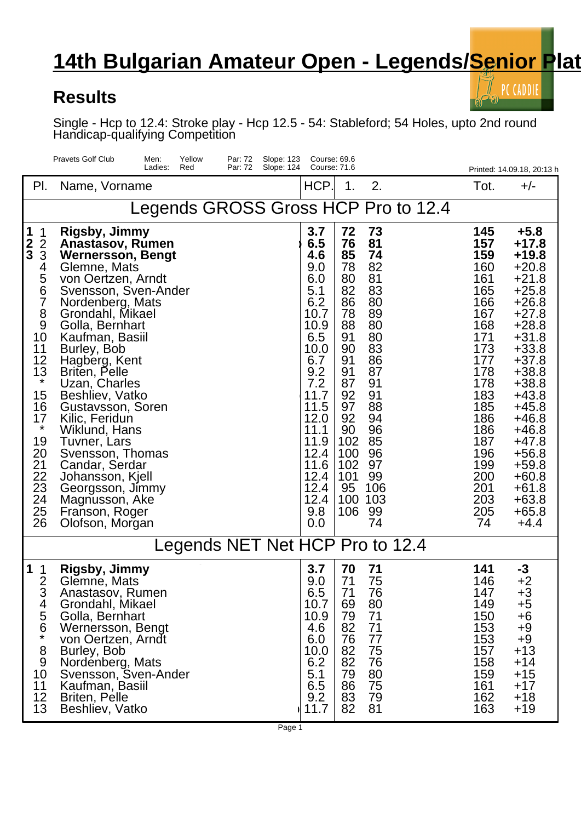## **14th Bulgarian Amateur Open - Legends/Senior Plat**

## **Results**

PC CADDIE

Single - Hcp to 12.4: Stroke play - Hcp 12.5 - 54: Stableford; 54 Holes, upto 2nd round Handicap-qualifying Competition

|                                                                                                                                                                                                                                     | <b>Pravets Golf Club</b><br>Yellow<br>Men:<br>Par: 72<br>Slope: 123<br>Ladies:<br>Red<br>Par: 72<br>Slope: 124                                                                                                                                                                                                                                                                                                                                                                                                            | Course: 69.6<br>Course: 71.6                                                                                                                                                                    |                                                                                                                                                          |                                                                                                                                                            |                                                                                                                                                                                   | Printed: 14.09.18, 20:13 h                                                                                                                                                                                                                                                     |  |  |  |  |  |
|-------------------------------------------------------------------------------------------------------------------------------------------------------------------------------------------------------------------------------------|---------------------------------------------------------------------------------------------------------------------------------------------------------------------------------------------------------------------------------------------------------------------------------------------------------------------------------------------------------------------------------------------------------------------------------------------------------------------------------------------------------------------------|-------------------------------------------------------------------------------------------------------------------------------------------------------------------------------------------------|----------------------------------------------------------------------------------------------------------------------------------------------------------|------------------------------------------------------------------------------------------------------------------------------------------------------------|-----------------------------------------------------------------------------------------------------------------------------------------------------------------------------------|--------------------------------------------------------------------------------------------------------------------------------------------------------------------------------------------------------------------------------------------------------------------------------|--|--|--|--|--|
| PI.                                                                                                                                                                                                                                 | Name, Vorname                                                                                                                                                                                                                                                                                                                                                                                                                                                                                                             | HCP.                                                                                                                                                                                            | 1.                                                                                                                                                       | 2.                                                                                                                                                         | Tot.                                                                                                                                                                              | $+/-$                                                                                                                                                                                                                                                                          |  |  |  |  |  |
| Legends GROSS Gross HCP Pro to 12.4                                                                                                                                                                                                 |                                                                                                                                                                                                                                                                                                                                                                                                                                                                                                                           |                                                                                                                                                                                                 |                                                                                                                                                          |                                                                                                                                                            |                                                                                                                                                                                   |                                                                                                                                                                                                                                                                                |  |  |  |  |  |
| 1<br>1<br>$\frac{2}{3}$<br>$\overline{2}$<br>3<br>4<br>5<br>$\overline{6}$<br>$\overline{7}$<br>8<br>9<br>10<br>11<br>12<br>13<br>$\star$<br>15<br>16<br>17<br>$\star$<br>19<br>20<br>21<br>22<br>$\frac{23}{24}$<br>24<br>25<br>26 | <b>Rigsby, Jimmy</b><br>Anastasov, Rumen<br><b>Wernersson, Bengt</b><br>Glemne, Mats<br>von Oertzen, Arndt<br>Svensson, Sven-Ander<br>Nordenberg, Mats<br>Grondahl, Mikael<br>Golla, Bernhart<br>Kaufman, Basiil<br>Burley, Bob<br>Hagberg, Kent<br><b>Briten, Pelle</b><br>Uzan, Charles<br>Beshliev, Vatko<br>Gustavsson, Soren<br>Kilic, Feridun<br>Wiklund, Hans<br>Tuvner, Lars<br>Svensson, Thomas<br>Candar, Serdar<br>Johansson, Kjell<br>Georgsson, Jimmy<br>Magnusson, Ake<br>Franson, Roger<br>Olofson, Morgan | 3.7<br>6.5<br>4.6<br>9.0<br>6.0<br>5.1<br>6.2<br>10.7<br>10.9<br>6.5<br>10.0<br>6.7<br>9.2<br>7.2<br>11.7<br>11.5<br>12.0<br>11.1<br>11.9<br>12.4<br>11.6<br>12.4<br>12.4<br>12.4<br>9.8<br>0.0 | 72<br>76<br>85<br>78<br>80<br>82<br>86<br>78<br>88<br>91<br>90<br>91<br>91<br>87<br>92<br>97<br>92<br>90<br>102<br>100<br>102<br>101<br>95<br>100<br>106 | 73<br>81<br>74<br>82<br>81<br>83<br>80<br>89<br>80<br>80<br>83<br>86<br>87<br>91<br>91<br>88<br>94<br>96<br>85<br>96<br>97<br>99<br>106<br>103<br>99<br>74 | 145<br>157<br>159<br>160<br>161<br>165<br>166<br>167<br>168<br>171<br>173<br>177<br>178<br>178<br>183<br>185<br>186<br>186<br>187<br>196<br>199<br>200<br>201<br>203<br>205<br>74 | $+5.8$<br>+17.8<br>$+19.8$<br>$+20.8$<br>$+21.8$<br>$+25.8$<br>$+26.8$<br>$+27.8$<br>$+28.8$<br>$+31.8$<br>$+33.8$<br>$+37.8$<br>$+38.8$<br>$+38.8$<br>+43.8<br>+45.8<br>$+46.8$<br>+46.8<br>+47.8<br>$+56.8$<br>$+59.8$<br>$+60.8$<br>$+61.8$<br>$+63.8$<br>$+65.8$<br>$+4.4$ |  |  |  |  |  |
| Legends NET Net HCP Pro to 12.4                                                                                                                                                                                                     |                                                                                                                                                                                                                                                                                                                                                                                                                                                                                                                           |                                                                                                                                                                                                 |                                                                                                                                                          |                                                                                                                                                            |                                                                                                                                                                                   |                                                                                                                                                                                                                                                                                |  |  |  |  |  |
| 2<br>⌒<br>3<br>4<br>5<br>6<br>$\star$<br>8<br>9<br>10<br>11<br>12<br>13                                                                                                                                                             | <b>Rigsby, Jimmy</b><br>Glemne, Mats<br>Anastasov, Rumen<br>Grondahl, Mikael<br>Golla, Bernhart<br>Wernersson, Bengt<br>von Oertzen, Arndt<br>Burley, Bob<br>Nordenberg, Mats<br>Svensson, Sven-Ander<br>Kaufman, Basiil<br>Briten, Pelle<br>Beshliev, Vatko                                                                                                                                                                                                                                                              | 3.7<br>9.0<br>6.5<br>10.7<br>10.9<br>4.6<br>6.0<br>10.0<br>6.2<br>5.1<br>6.5<br>9.2<br>11.7                                                                                                     | 70<br>71<br>71<br>69<br>79<br>82<br>76<br>82<br>82<br>79<br>86<br>83<br>82                                                                               | 71<br>75<br>76<br>80<br>71<br>71<br>77<br>75<br>76<br>80<br>75<br>79<br>81                                                                                 | 141<br>146<br>147<br>149<br>150<br>153<br>153<br>157<br>158<br>159<br>161<br>162<br>163                                                                                           | $-3$<br>$+2$<br>$+3$<br>$+5$<br>+6<br>$+9$<br>$+9$<br>$+13$<br>$+14$<br>$+15$<br>$+17$<br>$+18$<br>$+19$                                                                                                                                                                       |  |  |  |  |  |